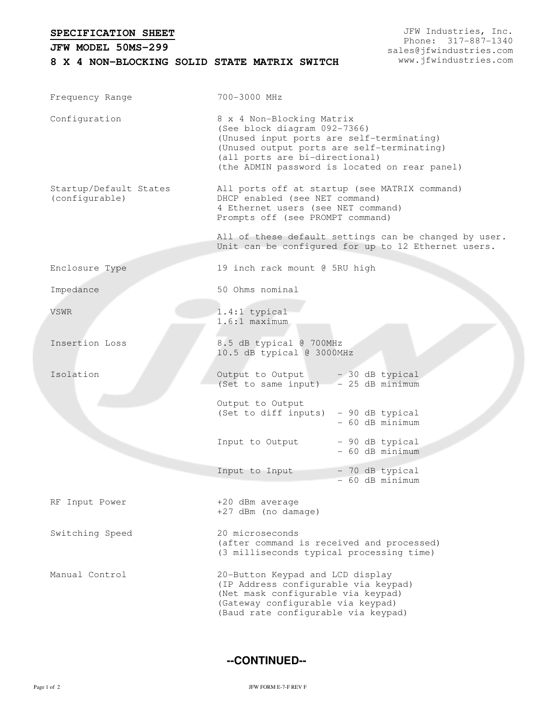## **SPECIFICATION SHEET**

**JFW MODEL 50MS-299**

**8 X 4 NON-BLOCKING SOLID STATE MATRIX SWITCH**

JFW Industries, Inc. Phone: 317-887-1340 sales@jfwindustries.com www.jfwindustries.com

| Frequency Range                          | 700-3000 MHz                                                                                                                                                                                                                            |
|------------------------------------------|-----------------------------------------------------------------------------------------------------------------------------------------------------------------------------------------------------------------------------------------|
| Configuration                            | 8 x 4 Non-Blocking Matrix<br>(See block diagram 092-7366)<br>(Unused input ports are self-terminating)<br>(Unused output ports are self-terminating)<br>(all ports are bi-directional)<br>(the ADMIN password is located on rear panel) |
| Startup/Default States<br>(configurable) | All ports off at startup (see MATRIX command)<br>DHCP enabled (see NET command)<br>4 Ethernet users (see NET command)<br>Prompts off (see PROMPT command)                                                                               |
|                                          | All of these default settings can be changed by user.<br>Unit can be configured for up to 12 Ethernet users.                                                                                                                            |
| Enclosure Type                           | 19 inch rack mount @ 5RU high                                                                                                                                                                                                           |
| Impedance                                | 50 Ohms nominal                                                                                                                                                                                                                         |
| VSWR                                     | 1.4:1 typical<br>$1.6:1$ maximum                                                                                                                                                                                                        |
| Insertion Loss                           | 8.5 dB typical @ 700MHz<br>10.5 dB typical @ 3000MHz                                                                                                                                                                                    |
| Isolation                                | Output to Output - 30 dB typical<br>$-25$ dB minimum<br>(Set to same input)                                                                                                                                                             |
|                                          | Output to Output<br>(Set to diff inputs) - 90 dB typical<br>$-60$ dB minimum                                                                                                                                                            |
|                                          | Input to Output<br>- 90 dB typical<br>- 60 dB minimum                                                                                                                                                                                   |
|                                          | Input to Input<br>- 70 dB typical<br>- 60 dB minimum                                                                                                                                                                                    |
| RF Input Power                           | +20 dBm average<br>+27 dBm (no damage)                                                                                                                                                                                                  |
| Switching Speed                          | 20 microseconds<br>(after command is received and processed)<br>(3 milliseconds typical processing time)                                                                                                                                |
| Manual Control                           | 20-Button Keypad and LCD display<br>(IP Address configurable via keypad)<br>(Net mask configurable via keypad)<br>(Gateway configurable via keypad)<br>(Baud rate configurable via keypad)                                              |

**--CONTINUED--**